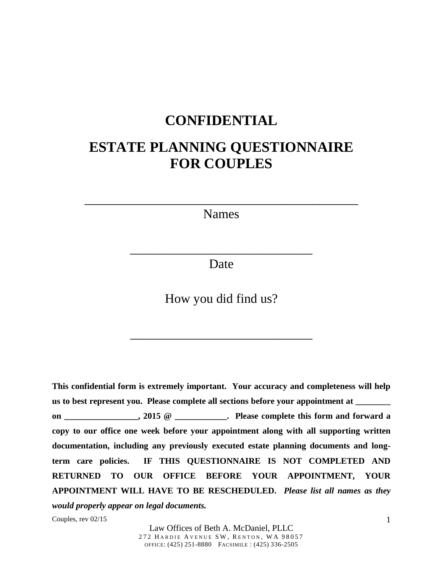# **CONFIDENTIAL**

# **ESTATE PLANNING QUESTIONNAIRE FOR COUPLES**

Names

\_\_\_\_\_\_\_\_\_\_\_\_\_\_\_\_\_\_\_\_\_\_\_\_\_\_\_\_\_\_\_\_\_\_\_\_\_\_\_\_\_\_

Date

\_\_\_\_\_\_\_\_\_\_\_\_\_\_\_\_\_\_\_\_\_\_\_\_\_\_\_\_

How you did find us?

\_\_\_\_\_\_\_\_\_\_\_\_\_\_\_\_\_\_\_\_\_\_\_\_\_\_\_\_

**This confidential form is extremely important. Your accuracy and completeness will help us to best represent you. Please complete all sections before your appointment at \_\_\_\_\_\_\_\_ on** \_\_\_\_\_\_\_\_\_\_\_\_\_\_\_\_, 2015 @ \_\_\_\_\_\_\_\_\_\_\_\_. Please complete this form and forward a **copy to our office one week before your appointment along with all supporting written documentation, including any previously executed estate planning documents and longterm care policies. IF THIS QUESTIONNAIRE IS NOT COMPLETED AND RETURNED TO OUR OFFICE BEFORE YOUR APPOINTMENT, YOUR APPOINTMENT WILL HAVE TO BE RESCHEDULED.** *Please list all names as they would properly appear on legal documents.*

Couples, rev 02/15

Law Offices of Beth A. McDaniel, PLLC 272 HARDIE AVENUE SW, RENTON, WA 98057 OFFICE: (425) 251-8880 FACSIMILE : (425) 336-2505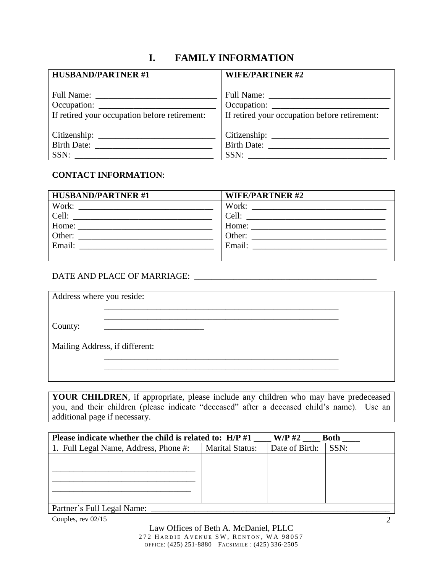# **I. FAMILY INFORMATION**

| <b>HUSBAND/PARTNER#1</b>                      | <b>WIFE/PARTNER#2</b>                         |
|-----------------------------------------------|-----------------------------------------------|
|                                               |                                               |
|                                               |                                               |
| If retired your occupation before retirement: | If retired your occupation before retirement: |
|                                               |                                               |
|                                               | Birth Date: No. 1996                          |
| SSN:                                          | SSN:                                          |

### **CONTACT INFORMATION**:

| <b>HUSBAND/PARTNER#1</b>                                                                                                      | <b>WIFE/PARTNER#2</b>                                                                                                          |
|-------------------------------------------------------------------------------------------------------------------------------|--------------------------------------------------------------------------------------------------------------------------------|
|                                                                                                                               | Work:                                                                                                                          |
| Cell:<br><u> 1980 - Jan Berlin, mars et al. 1980 - Antonio Alemania, profesora est al profesora est al profesora est al p</u> | Cell:<br><u> 1989 - Jan Berlin, mars et al. 1989 - Antonio Alemania, presidente establecente a la contradición de la contr</u> |
|                                                                                                                               |                                                                                                                                |
| Other:<br><u> 1980 - Andrea Andrew Maria (h. 1980).</u>                                                                       | Other:                                                                                                                         |
| Email:                                                                                                                        | Email:                                                                                                                         |
|                                                                                                                               |                                                                                                                                |

### DATE AND PLACE OF MARRIAGE: \_\_\_\_\_\_\_\_\_\_\_\_\_\_\_\_\_\_\_\_\_\_\_\_\_\_\_\_\_\_\_\_\_\_\_\_\_\_\_\_\_\_

| Address where you reside:      |  |
|--------------------------------|--|
|                                |  |
| County:                        |  |
| Mailing Address, if different: |  |
|                                |  |
|                                |  |

**YOUR CHILDREN**, if appropriate, please include any children who may have predeceased you, and their children (please indicate "deceased" after a deceased child's name). Use an additional page if necessary.

| Please indicate whether the child is related to: H/P #1 |                        | $W/P$ #2       | <b>Both</b> |
|---------------------------------------------------------|------------------------|----------------|-------------|
| 1. Full Legal Name, Address, Phone #:                   | <b>Marital Status:</b> | Date of Birth: | SSN:        |
|                                                         |                        |                |             |
|                                                         |                        |                |             |
|                                                         |                        |                |             |
|                                                         |                        |                |             |
|                                                         |                        |                |             |

| Partner's Full Legal Name: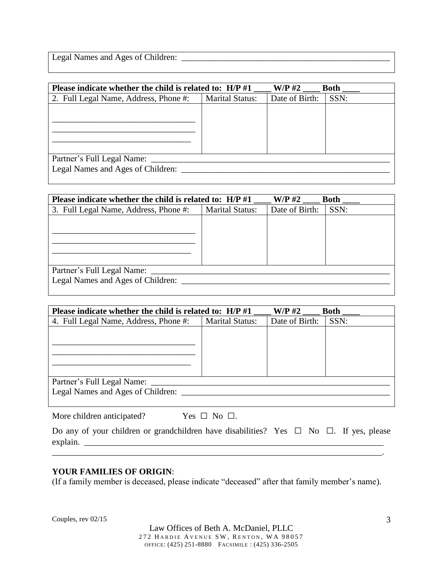Legal Names and Ages of Children: \_\_\_\_\_\_\_\_\_\_\_\_\_\_\_\_\_\_\_\_\_\_\_\_\_\_\_\_\_\_\_\_\_\_\_\_\_\_\_\_\_\_\_\_\_\_\_\_

|                        | $W/P$ #2                                                   | <b>Both</b> |
|------------------------|------------------------------------------------------------|-------------|
| <b>Marital Status:</b> | Date of Birth:                                             | SSN:        |
|                        |                                                            |             |
|                        |                                                            |             |
|                        |                                                            |             |
|                        |                                                            |             |
|                        |                                                            |             |
|                        |                                                            |             |
|                        |                                                            |             |
|                        | Please indicate whether the child is related to: $H/P \#1$ |             |

| Please indicate whether the child is related to: H/P #1<br>$W/P$ #2<br><b>Both</b> |                        |                |      |  |
|------------------------------------------------------------------------------------|------------------------|----------------|------|--|
| 3. Full Legal Name, Address, Phone #:                                              | <b>Marital Status:</b> | Date of Birth: | SSN: |  |
|                                                                                    |                        |                |      |  |
|                                                                                    |                        |                |      |  |
|                                                                                    |                        |                |      |  |
|                                                                                    |                        |                |      |  |
|                                                                                    |                        |                |      |  |
| Partner's Full Legal Name:                                                         |                        |                |      |  |
| Legal Names and Ages of Children:                                                  |                        |                |      |  |
|                                                                                    |                        |                |      |  |

| Please indicate whether the child is related to: $H/P \# 1$ |                        | $W/P$ #2       | <b>Both</b> |  |  |
|-------------------------------------------------------------|------------------------|----------------|-------------|--|--|
| 4. Full Legal Name, Address, Phone #:                       | <b>Marital Status:</b> | Date of Birth: | SSN:        |  |  |
|                                                             |                        |                |             |  |  |
|                                                             |                        |                |             |  |  |
|                                                             |                        |                |             |  |  |
|                                                             |                        |                |             |  |  |
|                                                             |                        |                |             |  |  |
| Partner's Full Legal Name:                                  |                        |                |             |  |  |
| Legal Names and Ages of Children:                           |                        |                |             |  |  |
|                                                             |                        |                |             |  |  |

More children anticipated? Yes  $\Box$  No  $\Box$ .

|          | Do any of your children or grandchildren have disabilities? Yes $\Box$ No $\Box$ . If yes, please |  |  |  |
|----------|---------------------------------------------------------------------------------------------------|--|--|--|
| explain. |                                                                                                   |  |  |  |

\_\_\_\_\_\_\_\_\_\_\_\_\_\_\_\_\_\_\_\_\_\_\_\_\_\_\_\_\_\_\_\_\_\_\_\_\_\_\_\_\_\_\_\_\_\_\_\_\_\_\_\_\_\_\_\_\_\_\_\_\_\_\_\_\_\_\_\_\_\_\_\_\_\_\_\_.

#### **YOUR FAMILIES OF ORIGIN**:

(If a family member is deceased, please indicate "deceased" after that family member's name).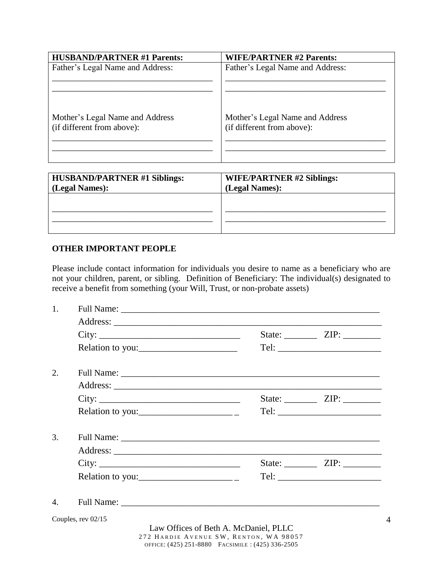| <b>HUSBAND/PARTNER #1 Parents:</b>                            | <b>WIFE/PARTNER #2 Parents:</b>                               |
|---------------------------------------------------------------|---------------------------------------------------------------|
| Father's Legal Name and Address:                              | Father's Legal Name and Address:                              |
| Mother's Legal Name and Address<br>(if different from above): | Mother's Legal Name and Address<br>(if different from above): |

| <b>HUSBAND/PARTNER #1 Siblings:</b><br>(Legal Names): | <b>WIFE/PARTNER #2 Siblings:</b><br>(Legal Names): |
|-------------------------------------------------------|----------------------------------------------------|
|                                                       |                                                    |
|                                                       |                                                    |

#### **OTHER IMPORTANT PEOPLE**

Please include contact information for individuals you desire to name as a beneficiary who are not your children, parent, or sibling. Definition of Beneficiary: The individual(s) designated to receive a benefit from something (your Will, Trust, or non-probate assets)

| 1.                   |                                                                                                                                                                                                                                                                                                                                                                                                                    |                                                                                            |                                   |  |  |
|----------------------|--------------------------------------------------------------------------------------------------------------------------------------------------------------------------------------------------------------------------------------------------------------------------------------------------------------------------------------------------------------------------------------------------------------------|--------------------------------------------------------------------------------------------|-----------------------------------|--|--|
|                      |                                                                                                                                                                                                                                                                                                                                                                                                                    |                                                                                            |                                   |  |  |
|                      | City:                                                                                                                                                                                                                                                                                                                                                                                                              |                                                                                            | State: $ZIP:$                     |  |  |
|                      | Relation to you:                                                                                                                                                                                                                                                                                                                                                                                                   |                                                                                            |                                   |  |  |
| 2.                   |                                                                                                                                                                                                                                                                                                                                                                                                                    |                                                                                            |                                   |  |  |
|                      |                                                                                                                                                                                                                                                                                                                                                                                                                    |                                                                                            |                                   |  |  |
|                      | City:                                                                                                                                                                                                                                                                                                                                                                                                              |                                                                                            |                                   |  |  |
|                      | Relation to you: $\frac{1}{\sqrt{1-\frac{1}{2}}}\frac{1}{\sqrt{1-\frac{1}{2}}}\frac{1}{\sqrt{1-\frac{1}{2}}}\frac{1}{\sqrt{1-\frac{1}{2}}}\frac{1}{\sqrt{1-\frac{1}{2}}}\frac{1}{\sqrt{1-\frac{1}{2}}}\frac{1}{\sqrt{1-\frac{1}{2}}}\frac{1}{\sqrt{1-\frac{1}{2}}}\frac{1}{\sqrt{1-\frac{1}{2}}}\frac{1}{\sqrt{1-\frac{1}{2}}}\frac{1}{\sqrt{1-\frac{1}{2}}}\frac{1}{\sqrt{1-\frac{1}{2}}}\frac{1}{\sqrt{1-\frac{$ |                                                                                            |                                   |  |  |
| 3.                   |                                                                                                                                                                                                                                                                                                                                                                                                                    |                                                                                            |                                   |  |  |
|                      |                                                                                                                                                                                                                                                                                                                                                                                                                    |                                                                                            |                                   |  |  |
|                      |                                                                                                                                                                                                                                                                                                                                                                                                                    |                                                                                            | State: ___________ ZIP: _________ |  |  |
|                      | Relation to you: $\frac{1}{\sqrt{1-\frac{1}{2}}}\frac{1}{\sqrt{1-\frac{1}{2}}}\frac{1}{\sqrt{1-\frac{1}{2}}}\frac{1}{\sqrt{1-\frac{1}{2}}}\frac{1}{\sqrt{1-\frac{1}{2}}}\frac{1}{\sqrt{1-\frac{1}{2}}}\frac{1}{\sqrt{1-\frac{1}{2}}}\frac{1}{\sqrt{1-\frac{1}{2}}}\frac{1}{\sqrt{1-\frac{1}{2}}}\frac{1}{\sqrt{1-\frac{1}{2}}}\frac{1}{\sqrt{1-\frac{1}{2}}}\frac{1}{\sqrt{1-\frac{1}{2}}}\frac{1}{\sqrt{1-\frac{$ |                                                                                            |                                   |  |  |
| $\mathbf{4}_{\cdot}$ |                                                                                                                                                                                                                                                                                                                                                                                                                    |                                                                                            |                                   |  |  |
|                      | Couples, rev 02/15                                                                                                                                                                                                                                                                                                                                                                                                 |                                                                                            |                                   |  |  |
|                      |                                                                                                                                                                                                                                                                                                                                                                                                                    | Law Offices of Beth A. McDaniel, PLLC                                                      |                                   |  |  |
|                      |                                                                                                                                                                                                                                                                                                                                                                                                                    | 272 HARDIE AVENUE SW, RENTON, WA 98057<br>OFFICE: (425) 251-8880 FACSIMILE: (425) 336-2505 |                                   |  |  |

4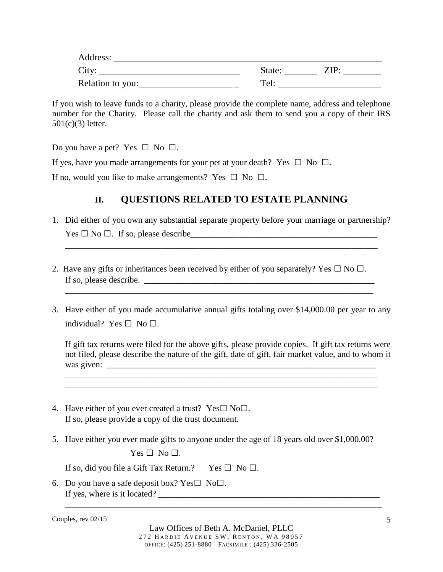| Address:         |                  |
|------------------|------------------|
| City:            | State:<br>$ZIP+$ |
| Relation to you: | Tel              |

If you wish to leave funds to a charity, please provide the complete name, address and telephone number for the Charity. Please call the charity and ask them to send you a copy of their IRS 501(c)(3) letter.

Do you have a pet? Yes  $\Box$  No  $\Box$ .

If yes, have you made arrangements for your pet at your death? Yes  $\Box$  No  $\Box$ .

If no, would you like to make arrangements? Yes  $\Box$  No  $\Box$ .

### **II. QUESTIONS RELATED TO ESTATE PLANNING**

1. Did either of you own any substantial separate property before your marriage or partnership? Yes □ No □. If so, please describe\_\_\_\_\_\_\_\_\_\_\_\_\_\_\_\_\_\_\_\_\_\_\_\_\_\_\_\_\_\_\_\_\_\_\_\_\_\_\_\_\_\_\_

\_\_\_\_\_\_\_\_\_\_\_\_\_\_\_\_\_\_\_\_\_\_\_\_\_\_\_\_\_\_\_\_\_\_\_\_\_\_\_\_\_\_\_\_\_\_\_\_\_\_\_\_\_\_\_\_\_\_\_\_\_\_\_\_\_\_\_\_\_\_\_\_

- 2. Have any gifts or inheritances been received by either of you separately? Yes  $\Box$  No  $\Box$ . If so, please describe. \_\_\_\_\_\_\_\_\_\_\_\_\_\_\_\_\_\_\_\_\_\_\_\_\_\_\_\_\_\_\_\_\_\_\_\_\_\_\_\_\_\_\_\_\_\_\_\_\_\_\_\_\_
- 3. Have either of you made accumulative annual gifts totaling over \$14,000.00 per year to any individual? Yes  $\Box$  No  $\Box$ .

\_\_\_\_\_\_\_\_\_\_\_\_\_\_\_\_\_\_\_\_\_\_\_\_\_\_\_\_\_\_\_\_\_\_\_\_\_\_\_\_\_\_\_\_\_\_\_\_\_\_\_\_\_\_\_\_\_\_\_\_\_\_\_\_\_\_\_\_\_\_\_

If gift tax returns were filed for the above gifts, please provide copies. If gift tax returns were not filed, please describe the nature of the gift, date of gift, fair market value, and to whom it was given:

\_\_\_\_\_\_\_\_\_\_\_\_\_\_\_\_\_\_\_\_\_\_\_\_\_\_\_\_\_\_\_\_\_\_\_\_\_\_\_\_\_\_\_\_\_\_\_\_\_\_\_\_\_\_\_\_\_\_\_\_\_\_\_\_\_\_\_\_\_\_\_\_ \_\_\_\_\_\_\_\_\_\_\_\_\_\_\_\_\_\_\_\_\_\_\_\_\_\_\_\_\_\_\_\_\_\_\_\_\_\_\_\_\_\_\_\_\_\_\_\_\_\_\_\_\_\_\_\_\_\_\_\_\_\_\_\_\_\_\_\_\_\_\_\_

- 4. Have either of you ever created a trust? Yes $\square$  No $\square$ . If so, please provide a copy of the trust document.
- 5. Have either you ever made gifts to anyone under the age of 18 years old over \$1,000.00?

 $Yes \Box No \Box.$ 

If so, did you file a Gift Tax Return.? Yes  $\Box$  No  $\Box$ .

6. Do you have a safe deposit box? Yes $\square$  No $\square$ . If yes, where is it located?

Couples, rev 02/15

\_\_\_\_\_\_\_\_\_\_\_\_\_\_\_\_\_\_\_\_\_\_\_\_\_\_\_\_\_\_\_\_\_\_\_\_\_\_\_\_\_\_\_\_\_\_\_\_\_\_\_\_\_\_\_\_\_\_\_\_\_\_\_\_\_\_\_\_\_\_\_\_\_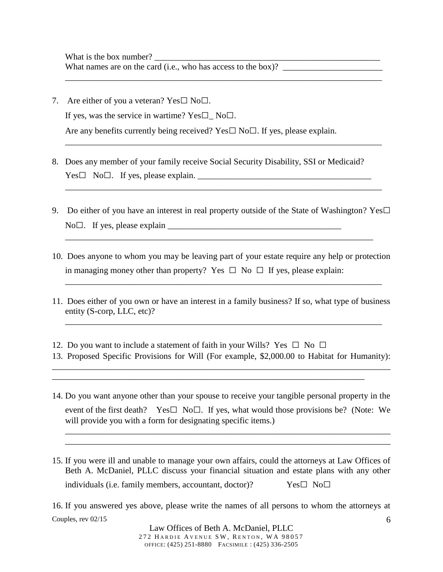- 7. Are either of you a veteran?  $Yes \Box No \Box$ . If yes, was the service in wartime? Yes $\square$  No $\square$ . Are any benefits currently being received? Yes $\square$  No $\square$ . If yes, please explain.
- 8. Does any member of your family receive Social Security Disability, SSI or Medicaid?  $Yes \Box \ No \Box$ . If yes, please explain.
- 9. Do either of you have an interest in real property outside of the State of Washington? Yes $\Box$  $No \Box$ . If yes, please explain  $\Box$

\_\_\_\_\_\_\_\_\_\_\_\_\_\_\_\_\_\_\_\_\_\_\_\_\_\_\_\_\_\_\_\_\_\_\_\_\_\_\_\_\_\_\_\_\_\_\_\_\_\_\_\_\_\_\_\_\_\_\_\_\_\_\_\_\_\_\_\_\_\_\_

\_\_\_\_\_\_\_\_\_\_\_\_\_\_\_\_\_\_\_\_\_\_\_\_\_\_\_\_\_\_\_\_\_\_\_\_\_\_\_\_\_\_\_\_\_\_\_\_\_\_\_\_\_\_\_\_\_\_\_\_\_\_\_\_\_\_\_\_\_\_\_\_\_

\_\_\_\_\_\_\_\_\_\_\_\_\_\_\_\_\_\_\_\_\_\_\_\_\_\_\_\_\_\_\_\_\_\_\_\_\_\_\_\_\_\_\_\_\_\_\_\_\_\_\_\_\_\_\_\_\_\_\_\_\_\_\_\_\_\_\_\_\_\_\_\_\_

\_\_\_\_\_\_\_\_\_\_\_\_\_\_\_\_\_\_\_\_\_\_\_\_\_\_\_\_\_\_\_\_\_\_\_\_\_\_\_\_\_\_\_\_\_\_\_\_\_\_\_\_\_\_\_\_\_\_\_\_\_\_\_\_\_\_\_\_\_\_\_\_\_

10. Does anyone to whom you may be leaving part of your estate require any help or protection in managing money other than property? Yes  $\Box$  No  $\Box$  If yes, please explain:

\_\_\_\_\_\_\_\_\_\_\_\_\_\_\_\_\_\_\_\_\_\_\_\_\_\_\_\_\_\_\_\_\_\_\_\_\_\_\_\_\_\_\_\_\_\_\_\_\_\_\_\_\_\_\_\_\_\_\_\_\_\_\_\_\_\_\_\_\_\_\_\_\_

11. Does either of you own or have an interest in a family business? If so, what type of business entity (S-corp, LLC, etc)?

\_\_\_\_\_\_\_\_\_\_\_\_\_\_\_\_\_\_\_\_\_\_\_\_\_\_\_\_\_\_\_\_\_\_\_\_\_\_\_\_\_\_\_\_\_\_\_\_\_\_\_\_\_\_\_\_\_\_\_\_\_\_\_\_\_\_\_\_\_\_\_\_\_

- 12. Do you want to include a statement of faith in your Wills? Yes  $\Box$  No  $\Box$
- 13. Proposed Specific Provisions for Will (For example, \$2,000.00 to Habitat for Humanity): \_\_\_\_\_\_\_\_\_\_\_\_\_\_\_\_\_\_\_\_\_\_\_\_\_\_\_\_\_\_\_\_\_\_\_\_\_\_\_\_\_\_\_\_\_\_\_\_\_\_\_\_\_\_\_\_\_\_\_\_\_\_\_\_\_\_\_\_\_\_\_\_\_\_\_\_\_\_

\_\_\_\_\_\_\_\_\_\_\_\_\_\_\_\_\_\_\_\_\_\_\_\_\_\_\_\_\_\_\_\_\_\_\_\_\_\_\_\_\_\_\_\_\_\_\_\_\_\_\_\_\_\_\_\_\_\_\_\_\_\_\_\_\_\_\_\_\_\_\_\_

14. Do you want anyone other than your spouse to receive your tangible personal property in the event of the first death? Yes $\square$  No $\square$ . If yes, what would those provisions be? (Note: We will provide you with a form for designating specific items.)

\_\_\_\_\_\_\_\_\_\_\_\_\_\_\_\_\_\_\_\_\_\_\_\_\_\_\_\_\_\_\_\_\_\_\_\_\_\_\_\_\_\_\_\_\_\_\_\_\_\_\_\_\_\_\_\_\_\_\_\_\_\_\_\_\_\_\_\_\_\_\_\_\_\_\_ \_\_\_\_\_\_\_\_\_\_\_\_\_\_\_\_\_\_\_\_\_\_\_\_\_\_\_\_\_\_\_\_\_\_\_\_\_\_\_\_\_\_\_\_\_\_\_\_\_\_\_\_\_\_\_\_\_\_\_\_\_\_\_\_\_\_\_\_\_\_\_\_\_\_\_

15. If you were ill and unable to manage your own affairs, could the attorneys at Law Offices of Beth A. McDaniel, PLLC discuss your financial situation and estate plans with any other individuals (i.e. family members, accountant, doctor)?  $Yes \Box \ No \Box$ 

Couples, rev 02/15 6 16. If you answered yes above, please write the names of all persons to whom the attorneys at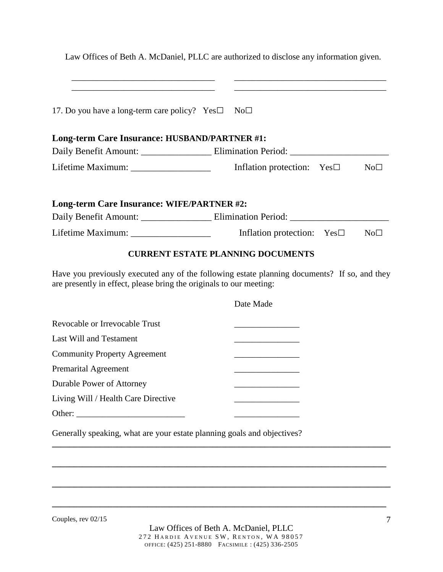|                                                                         | Law Offices of Beth A. McDaniel, PLLC are authorized to disclose any information given.<br><u> Alexandria de la contrada de la contrada de la contrada de la contrada de la contrada de la contrada de la c</u>                      |             |
|-------------------------------------------------------------------------|--------------------------------------------------------------------------------------------------------------------------------------------------------------------------------------------------------------------------------------|-------------|
| 17. Do you have a long-term care policy? Yes $\square$                  | the control of the control of the control of the control of the control of the control of the control of the control of<br>No <sub>1</sub>                                                                                           |             |
| Long-term Care Insurance: HUSBAND/PARTNER #1:                           |                                                                                                                                                                                                                                      |             |
|                                                                         |                                                                                                                                                                                                                                      |             |
|                                                                         | Lifetime Maximum: _______________________ Inflation protection: Yes□                                                                                                                                                                 | $No\square$ |
| Long-term Care Insurance: WIFE/PARTNER #2:                              |                                                                                                                                                                                                                                      |             |
|                                                                         | Daily Benefit Amount: ________________________ Elimination Period: ________________________________                                                                                                                                  |             |
|                                                                         | Inflation protection: $Yes \Box$                                                                                                                                                                                                     | $No\square$ |
|                                                                         | <b>CURRENT ESTATE PLANNING DOCUMENTS</b>                                                                                                                                                                                             |             |
| are presently in effect, please bring the originals to our meeting:     | Have you previously executed any of the following estate planning documents? If so, and they                                                                                                                                         |             |
|                                                                         | Date Made                                                                                                                                                                                                                            |             |
| Revocable or Irrevocable Trust                                          | <u> 1989 - Johann John Harry Harry Harry Harry Harry Harry Harry Harry Harry Harry Harry Harry Harry Harry Harry Harry Harry Harry Harry Harry Harry Harry Harry Harry Harry Harry Harry Harry Harry Harry Harry Harry Harry Har</u> |             |
| <b>Last Will and Testament</b>                                          |                                                                                                                                                                                                                                      |             |
| <b>Community Property Agreement</b>                                     |                                                                                                                                                                                                                                      |             |
| <b>Premarital Agreement</b>                                             |                                                                                                                                                                                                                                      |             |
| <b>Durable Power of Attorney</b>                                        |                                                                                                                                                                                                                                      |             |
| Living Will / Health Care Directive                                     |                                                                                                                                                                                                                                      |             |
|                                                                         |                                                                                                                                                                                                                                      |             |
| Generally speaking, what are your estate planning goals and objectives? |                                                                                                                                                                                                                                      |             |

Couples, rev 02/15

**\_\_\_\_\_\_\_\_\_\_\_\_\_\_\_\_\_\_\_\_\_\_\_\_\_\_\_\_\_\_\_\_\_\_\_\_\_\_\_\_\_\_\_\_\_\_\_\_\_\_\_\_\_\_\_\_\_\_\_\_\_\_\_\_\_\_\_\_\_\_\_\_\_\_\_\_\_**

**\_\_\_\_\_\_\_\_\_\_\_\_\_\_\_\_\_\_\_\_\_\_\_\_\_\_\_\_\_\_\_\_\_\_\_\_\_\_\_\_\_\_\_\_\_\_\_\_\_\_\_\_\_\_\_\_\_\_\_\_\_\_\_\_\_\_\_\_\_\_\_\_\_\_\_\_\_\_**

**\_\_\_\_\_\_\_\_\_\_\_\_\_\_\_\_\_\_\_\_\_\_\_\_\_\_\_\_\_\_\_\_\_\_\_\_\_\_\_\_\_\_\_\_\_\_\_\_\_\_\_\_\_\_\_\_\_\_\_\_\_\_\_\_\_\_\_\_\_\_\_\_\_\_\_\_\_**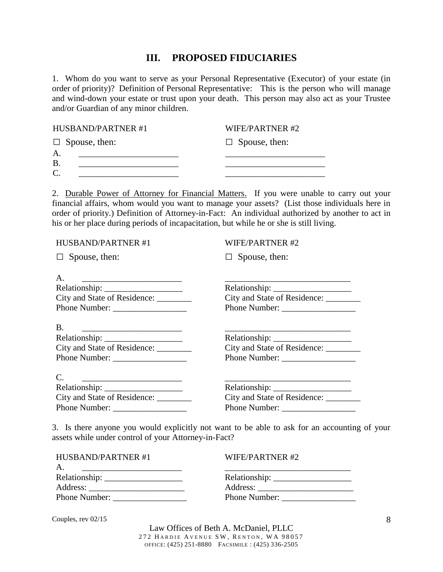### **III. PROPOSED FIDUCIARIES**

1. Whom do you want to serve as your Personal Representative (Executor) of your estate (in order of priority)? Definition of Personal Representative: This is the person who will manage and wind-down your estate or trust upon your death. This person may also act as your Trustee and/or Guardian of any minor children.

| <b>HUSBAND/PARTNER#1</b>   | WIFE/PARTNER#2       |
|----------------------------|----------------------|
| $\Box$ Spouse, then:       | $\Box$ Spouse, then: |
| $\mathbf{A}$<br><b>B</b> . |                      |
| C                          |                      |

2. Durable Power of Attorney for Financial Matters. If you were unable to carry out your financial affairs, whom would you want to manage your assets? (List those individuals here in order of priority.) Definition of Attorney-in-Fact: An individual authorized by another to act in his or her place during periods of incapacitation, but while he or she is still living.

| <b>HUSBAND/PARTNER#1</b>                                                                             | <b>WIFE/PARTNER#2</b> |
|------------------------------------------------------------------------------------------------------|-----------------------|
| $\Box$ Spouse, then:                                                                                 | $\Box$ Spouse, then:  |
|                                                                                                      |                       |
| A.                                                                                                   |                       |
|                                                                                                      |                       |
| City and State of Residence: ________                                                                |                       |
| Phone Number:                                                                                        |                       |
| <b>B.</b><br>City and State of Residence:                                                            |                       |
| <u> 1980 - Andrea Barbara, manatar amerikana amerikana a</u><br>City and State of Residence: _______ |                       |

3. Is there anyone you would explicitly not want to be able to ask for an accounting of your assets while under control of your Attorney-in-Fact?

| HUSBAND/PARTNER#1 | WIFE/PARTNER#2 |
|-------------------|----------------|
| A.                |                |
|                   |                |
|                   | Address:       |
|                   | Phone Number:  |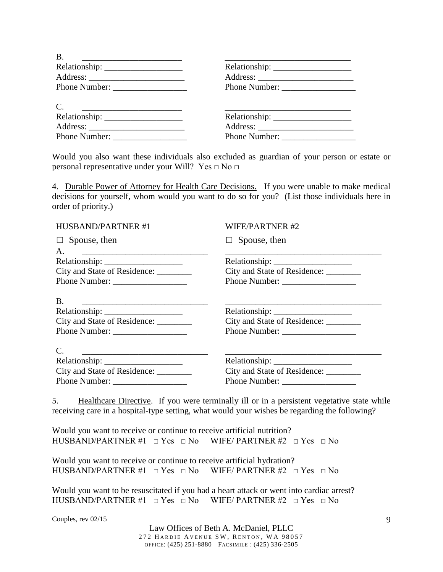| B.<br>the contract of the contract of the contract of the contract of the contract of |               |
|---------------------------------------------------------------------------------------|---------------|
|                                                                                       |               |
|                                                                                       |               |
| Phone Number:                                                                         |               |
| $\mathcal{C}$ .<br><u> 1980 - Andrea Andrew Maria (h. 1980).</u><br>Phone Number:     | Phone Number: |

Would you also want these individuals also excluded as guardian of your person or estate or personal representative under your Will? Yes  $\Box$  No  $\Box$ 

4. Durable Power of Attorney for Health Care Decisions. If you were unable to make medical decisions for yourself, whom would you want to do so for you? (List those individuals here in order of priority.)

| HUSBAND/PARTNER #1                                                                                                                      | <b>WIFE/PARTNER#2</b>                  |
|-----------------------------------------------------------------------------------------------------------------------------------------|----------------------------------------|
| $\Box$ Spouse, then                                                                                                                     | $\Box$ Spouse, then                    |
| A.                                                                                                                                      |                                        |
|                                                                                                                                         |                                        |
| City and State of Residence: ________                                                                                                   | City and State of Residence: ________  |
|                                                                                                                                         |                                        |
| Β.                                                                                                                                      |                                        |
|                                                                                                                                         |                                        |
| City and State of Residence: _______                                                                                                    | City and State of Residence: _________ |
|                                                                                                                                         |                                        |
| $\mathcal{C}$ .<br><u> 2000 - Jan James James James James James James James James James James James James James James James James J</u> |                                        |
|                                                                                                                                         |                                        |
| City and State of Residence: ________                                                                                                   | City and State of Residence: ________  |
|                                                                                                                                         |                                        |

5. Healthcare Directive. If you were terminally ill or in a persistent vegetative state while receiving care in a hospital-type setting, what would your wishes be regarding the following?

Would you want to receive or continue to receive artificial nutrition? HUSBAND/PARTNER #1  $\Box$  Yes  $\Box$  No WIFE/ PARTNER #2  $\Box$  Yes  $\Box$  No

Would you want to receive or continue to receive artificial hydration? HUSBAND/PARTNER #1  $\Box$  Yes  $\Box$  No WIFE/ PARTNER #2  $\Box$  Yes  $\Box$  No

Would you want to be resuscitated if you had a heart attack or went into cardiac arrest? HUSBAND/PARTNER #1  $\Box$  Yes  $\Box$  No WIFE/ PARTNER #2  $\Box$  Yes  $\Box$  No

Couples, rev 02/15

Law Offices of Beth A. McDaniel, PLLC 272 HARDIE AVENUE SW, RENTON, WA 98057 OFFICE: (425) 251-8880 FACSIMILE : (425) 336-2505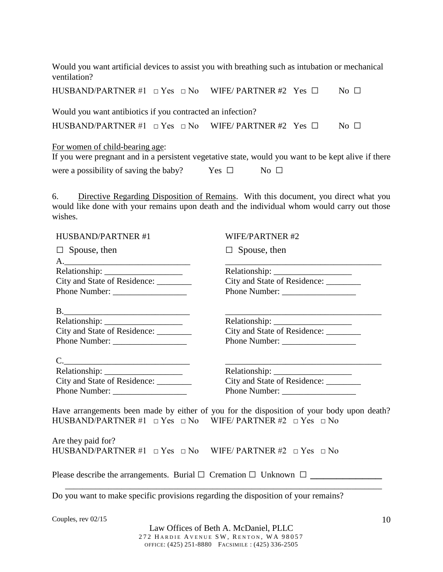Would you want artificial devices to assist you with breathing such as intubation or mechanical ventilation?

|                                                            | HUSBAND/PARTNER #1 $\Box$ Yes $\Box$ No WIFE/ PARTNER #2 Yes $\Box$ | No $\Box$                 |
|------------------------------------------------------------|---------------------------------------------------------------------|---------------------------|
| Would you want antibiotics if you contracted an infection? |                                                                     |                           |
|                                                            | HUSBAND/PARTNER #1 $\Box$ Yes $\Box$ No WIFE/ PARTNER #2 Yes $\Box$ | $\overline{N_{0}}$ $\Box$ |
| For women of child-bearing age:                            |                                                                     |                           |

|  |  | If you were pregnant and in a persistent vegetative state, would you want to be kept alive if there |  |  |  |  |  |
|--|--|-----------------------------------------------------------------------------------------------------|--|--|--|--|--|
|  |  |                                                                                                     |  |  |  |  |  |

| were a possibility of saving the baby? | Yes $\Box$ | No $\Box$ |
|----------------------------------------|------------|-----------|
|                                        |            |           |

6. Directive Regarding Disposition of Remains. With this document, you direct what you would like done with your remains upon death and the individual whom would carry out those wishes.

| HUSBAND/PARTNER #1                                                                                                                           | <b>WIFE/PARTNER#2</b>                                                                     |
|----------------------------------------------------------------------------------------------------------------------------------------------|-------------------------------------------------------------------------------------------|
| $\Box$ Spouse, then                                                                                                                          | $\Box$ Spouse, then                                                                       |
|                                                                                                                                              |                                                                                           |
| City and State of Residence: ________                                                                                                        | City and State of Residence: ________                                                     |
|                                                                                                                                              |                                                                                           |
| $B$ .                                                                                                                                        |                                                                                           |
|                                                                                                                                              |                                                                                           |
| City and State of Residence: ________                                                                                                        | City and State of Residence: ________                                                     |
|                                                                                                                                              |                                                                                           |
| C.                                                                                                                                           |                                                                                           |
|                                                                                                                                              |                                                                                           |
| City and State of Residence: ________                                                                                                        | City and State of Residence: ________                                                     |
|                                                                                                                                              |                                                                                           |
| $HUSBAND/PARTNER #1 \t\t\t\t\square Yes \t\t\t\t\t\s\square No \t\t\t\tWIFE/PARTNER #2 \t\t\t\t\t\s\square Yes \t\t\t\t\t\t\t\t\s\square No$ | Have arrangements been made by either of you for the disposition of your body upon death? |
| Are they paid for?<br>HUSBAND/PARTNER #1 $\Box$ Yes $\Box$ No WIFE/ PARTNER #2 $\Box$ Yes $\Box$ No                                          |                                                                                           |
| Please describe the arrangements. Burial $\Box$ Cremation $\Box$ Unknown $\Box$                                                              |                                                                                           |

Do you want to make specific provisions regarding the disposition of your remains?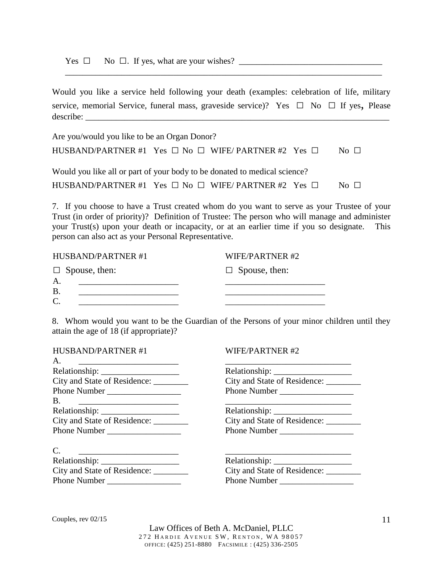Yes □ No □. If yes, what are your wishes? \_\_\_\_\_\_\_\_\_\_\_\_\_\_\_\_\_\_\_\_\_\_\_\_\_\_\_\_\_\_\_\_\_

Would you like a service held following your death (examples: celebration of life, military service, memorial Service, funeral mass, graveside service)? Yes  $\Box$  No  $\Box$  If yes, Please describe: \_\_\_\_\_\_\_\_\_\_\_\_\_\_\_\_\_\_\_\_\_\_\_\_\_\_\_\_\_\_\_\_\_\_\_\_\_\_\_\_\_\_\_\_\_\_\_\_\_\_\_\_\_\_\_\_\_\_\_\_\_\_\_\_\_\_\_\_\_\_

\_\_\_\_\_\_\_\_\_\_\_\_\_\_\_\_\_\_\_\_\_\_\_\_\_\_\_\_\_\_\_\_\_\_\_\_\_\_\_\_\_\_\_\_\_\_\_\_\_\_\_\_\_\_\_\_\_\_\_\_\_\_\_\_\_\_\_\_\_\_\_\_\_

| Are you/would you like to be an Organ Donor?                              |                           |
|---------------------------------------------------------------------------|---------------------------|
| HUSBAND/PARTNER #1 Yes $\Box$ No $\Box$ WIFE/ PARTNER #2 Yes $\Box$       | $N_O$ $\Box$              |
| Would you like all or part of your body to be donated to medical science? |                           |
| HUSBAND/PARTNER #1 Yes $\Box$ No $\Box$ WIFE/ PARTNER #2 Yes $\Box$       | $\overline{N_{0}}$ $\Box$ |

7. If you choose to have a Trust created whom do you want to serve as your Trustee of your Trust (in order of priority)? Definition of Trustee: The person who will manage and administer your Trust(s) upon your death or incapacity, or at an earlier time if you so designate. This person can also act as your Personal Representative.

| HUSBAND/PARTNER#1    | WIFE/PARTNER#2       |
|----------------------|----------------------|
| $\Box$ Spouse, then: | $\Box$ Spouse, then: |
| $\mathsf{A}$ .       |                      |
| $\mathbf{B}$         |                      |
|                      |                      |

8. Whom would you want to be the Guardian of the Persons of your minor children until they attain the age of 18 (if appropriate)?

| City and State of Residence: _________                                                                               |
|----------------------------------------------------------------------------------------------------------------------|
| Phone Number                                                                                                         |
| <u> 1980 - Johann John Stone, markin film yn y brenin y brenin y brenin y brenin y brenin y brenin y brenin y br</u> |
|                                                                                                                      |
| City and State of Residence: ________                                                                                |
|                                                                                                                      |
|                                                                                                                      |
|                                                                                                                      |
|                                                                                                                      |
| City and State of Residence: ________                                                                                |
| Phone Number                                                                                                         |
|                                                                                                                      |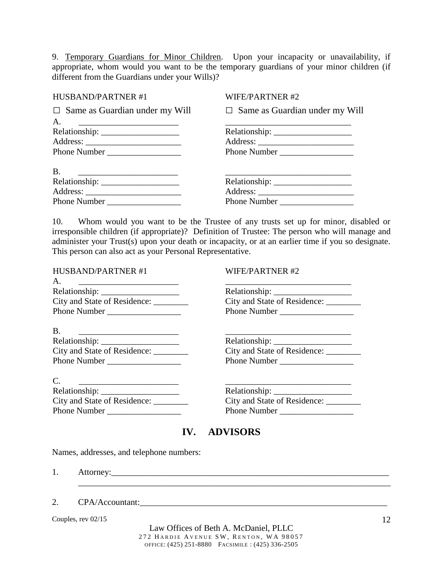9. Temporary Guardians for Minor Children. Upon your incapacity or unavailability, if appropriate, whom would you want to be the temporary guardians of your minor children (if different from the Guardians under your Wills)?

#### HUSBAND/PARTNER #1

#### WIFE/PARTNER #2

 $\Box$  Same as Guardian under my Will  $\Box$  Same as Guardian under my Will A. <u>\_\_\_\_\_\_\_\_\_\_\_\_\_\_\_\_\_\_\_\_\_\_\_\_\_\_\_\_\_\_\_\_</u> Relationship: \_\_\_\_\_\_\_\_\_\_\_\_\_\_\_\_\_\_ Address: \_\_\_\_\_\_\_\_\_\_\_\_\_\_\_\_\_\_\_\_\_\_ Phone Number \_\_\_\_\_\_\_\_\_\_\_\_\_\_\_\_\_ \_\_\_\_\_\_\_\_\_\_\_\_\_\_\_\_\_\_\_\_\_\_\_\_\_\_\_\_\_ Relationship: \_\_\_\_\_\_\_\_\_\_\_\_\_\_\_\_\_\_ Address: \_\_\_\_\_\_\_\_\_\_\_\_\_\_\_\_\_\_\_\_\_\_ Phone Number B. \_\_\_\_\_\_\_\_\_\_\_\_\_\_\_\_\_\_\_\_\_\_\_ Relationship: \_\_\_\_\_\_\_\_\_\_\_\_\_\_\_\_\_\_ Address: \_\_\_\_\_\_\_\_\_\_\_\_\_\_\_\_\_\_\_\_\_\_ Phone Number \_\_\_\_\_\_\_\_\_\_\_\_\_\_\_\_\_\_\_\_\_\_\_\_\_\_\_\_\_ Relationship: \_\_\_\_\_\_\_\_\_\_\_\_\_\_\_\_\_\_ Address: \_\_\_\_\_\_\_\_\_\_\_\_\_\_\_\_\_\_\_\_\_\_ Phone Number

10. Whom would you want to be the Trustee of any trusts set up for minor, disabled or irresponsible children (if appropriate)? Definition of Trustee: The person who will manage and administer your Trust(s) upon your death or incapacity, or at an earlier time if you so designate. This person can also act as your Personal Representative.

| <b>WIFE/PARTNER#2</b>                  |
|----------------------------------------|
|                                        |
|                                        |
| City and State of Residence: ________  |
| Phone Number                           |
|                                        |
|                                        |
| City and State of Residence:           |
|                                        |
|                                        |
| Relationship:                          |
| City and State of Residence: _________ |
| Phone Number                           |
|                                        |

# **IV. ADVISORS**

\_\_\_\_\_\_\_\_\_\_\_\_\_\_\_\_\_\_\_\_\_\_\_\_\_\_\_\_\_\_\_\_\_\_\_\_\_\_\_\_\_\_\_\_\_\_\_\_\_\_\_\_\_\_\_\_\_\_\_\_\_\_\_\_\_\_\_\_\_\_\_\_

Names, addresses, and telephone numbers:

1. Attorney:\_\_\_\_\_\_\_\_\_\_\_\_\_\_\_\_\_\_\_\_\_\_\_\_\_\_\_\_\_\_\_\_\_\_\_\_\_\_\_\_\_\_\_\_\_\_\_\_\_\_\_\_\_\_\_\_\_\_\_\_\_\_\_\_

| CPA/Accountant:<br>ـ ت |  |
|------------------------|--|
|------------------------|--|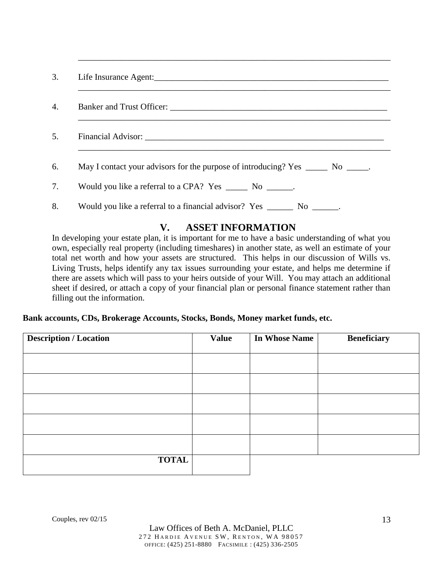| 3. |                                                                                    |
|----|------------------------------------------------------------------------------------|
| 4. |                                                                                    |
| 5. |                                                                                    |
| 6. | May I contact your advisors for the purpose of introducing? Yes _______ No ______. |
| 7. | Would you like a referral to a CPA? Yes ______ No ______.                          |
| 8. | Would you like a referral to a financial advisor? Yes _______ No ______.           |

 $\overline{\phantom{a}}$  , and the contribution of the contribution of the contribution of the contribution of the contribution of the contribution of the contribution of the contribution of the contribution of the contribution of the

# **V. ASSET INFORMATION**

In developing your estate plan, it is important for me to have a basic understanding of what you own, especially real property (including timeshares) in another state, as well an estimate of your total net worth and how your assets are structured. This helps in our discussion of Wills vs. Living Trusts, helps identify any tax issues surrounding your estate, and helps me determine if there are assets which will pass to your heirs outside of your Will. You may attach an additional sheet if desired, or attach a copy of your financial plan or personal finance statement rather than filling out the information.

#### **Bank accounts, CDs, Brokerage Accounts, Stocks, Bonds, Money market funds, etc.**

| <b>Description / Location</b> | <b>Value</b> | <b>In Whose Name</b> | <b>Beneficiary</b> |
|-------------------------------|--------------|----------------------|--------------------|
|                               |              |                      |                    |
|                               |              |                      |                    |
|                               |              |                      |                    |
|                               |              |                      |                    |
|                               |              |                      |                    |
| <b>TOTAL</b>                  |              |                      |                    |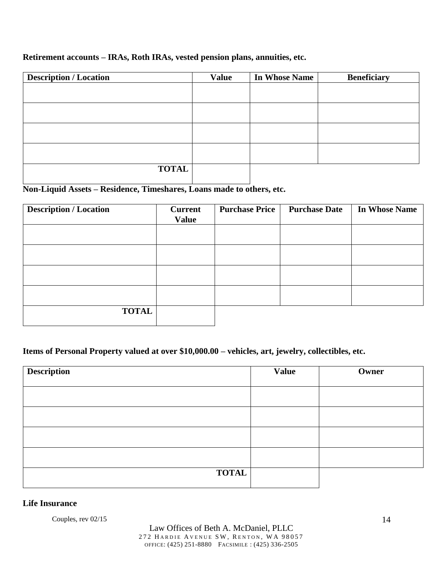### **Retirement accounts – IRAs, Roth IRAs, vested pension plans, annuities, etc.**

| <b>Description / Location</b> | <b>Value</b> | <b>In Whose Name</b> | <b>Beneficiary</b> |
|-------------------------------|--------------|----------------------|--------------------|
|                               |              |                      |                    |
|                               |              |                      |                    |
|                               |              |                      |                    |
|                               |              |                      |                    |
|                               |              |                      |                    |
|                               |              |                      |                    |
|                               |              |                      |                    |
|                               |              |                      |                    |
| <b>TOTAL</b>                  |              |                      |                    |

# **Non-Liquid Assets – Residence, Timeshares, Loans made to others, etc.**

| <b>Description / Location</b> | <b>Current</b> | <b>Purchase Price</b> | <b>Purchase Date</b> | <b>In Whose Name</b> |
|-------------------------------|----------------|-----------------------|----------------------|----------------------|
|                               | <b>Value</b>   |                       |                      |                      |
|                               |                |                       |                      |                      |
|                               |                |                       |                      |                      |
|                               |                |                       |                      |                      |
|                               |                |                       |                      |                      |
|                               |                |                       |                      |                      |
|                               |                |                       |                      |                      |
|                               |                |                       |                      |                      |
|                               |                |                       |                      |                      |
| <b>TOTAL</b>                  |                |                       |                      |                      |
|                               |                |                       |                      |                      |

### **Items of Personal Property valued at over \$10,000.00 – vehicles, art, jewelry, collectibles, etc.**

| <b>Description</b> | <b>Value</b> | Owner |
|--------------------|--------------|-------|
|                    |              |       |
|                    |              |       |
|                    |              |       |
|                    |              |       |
|                    |              |       |
| <b>TOTAL</b>       |              |       |

#### **Life Insurance**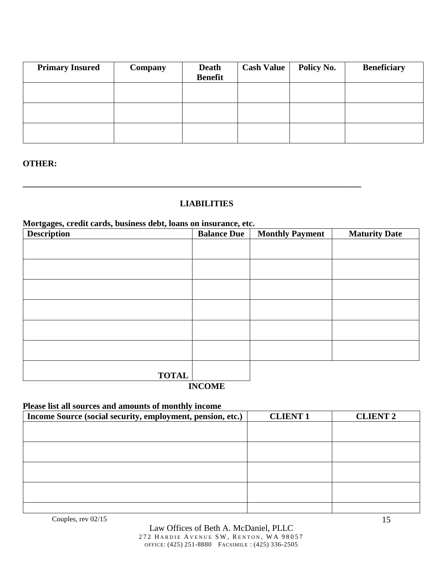| <b>Primary Insured</b> | <b>Company</b> | <b>Death</b><br><b>Benefit</b> | <b>Cash Value</b> | <b>Policy No.</b> | <b>Beneficiary</b> |
|------------------------|----------------|--------------------------------|-------------------|-------------------|--------------------|
|                        |                |                                |                   |                   |                    |
|                        |                |                                |                   |                   |                    |
|                        |                |                                |                   |                   |                    |

#### **OTHER:**

### **LIABILITIES**

**\_\_\_\_\_\_\_\_\_\_\_\_\_\_\_\_\_\_\_\_\_\_\_\_\_\_\_\_\_\_\_\_\_\_\_\_\_\_\_\_\_\_\_\_\_\_\_\_\_\_\_\_\_\_\_\_\_\_\_\_\_\_\_\_\_\_\_\_\_\_\_\_\_\_\_\_\_\_** 

#### **Mortgages, credit cards, business debt, loans on insurance, etc.**

| $\sim$ $\sim$ $\sim$<br><b>Description</b> | <b>Balance Due</b> | <b>Monthly Payment</b> | <b>Maturity Date</b> |
|--------------------------------------------|--------------------|------------------------|----------------------|
|                                            |                    |                        |                      |
|                                            |                    |                        |                      |
|                                            |                    |                        |                      |
|                                            |                    |                        |                      |
|                                            |                    |                        |                      |
|                                            |                    |                        |                      |
|                                            |                    |                        |                      |
| <b>TOTAL</b>                               |                    |                        |                      |

#### **INCOME**

#### **Please list all sources and amounts of monthly income**

| Income Source (social security, employment, pension, etc.) | <b>CLIENT 1</b> | <b>CLIENT 2</b> |
|------------------------------------------------------------|-----------------|-----------------|
|                                                            |                 |                 |
|                                                            |                 |                 |
|                                                            |                 |                 |
|                                                            |                 |                 |
|                                                            |                 |                 |
|                                                            |                 |                 |
|                                                            |                 |                 |
|                                                            |                 |                 |
|                                                            |                 |                 |